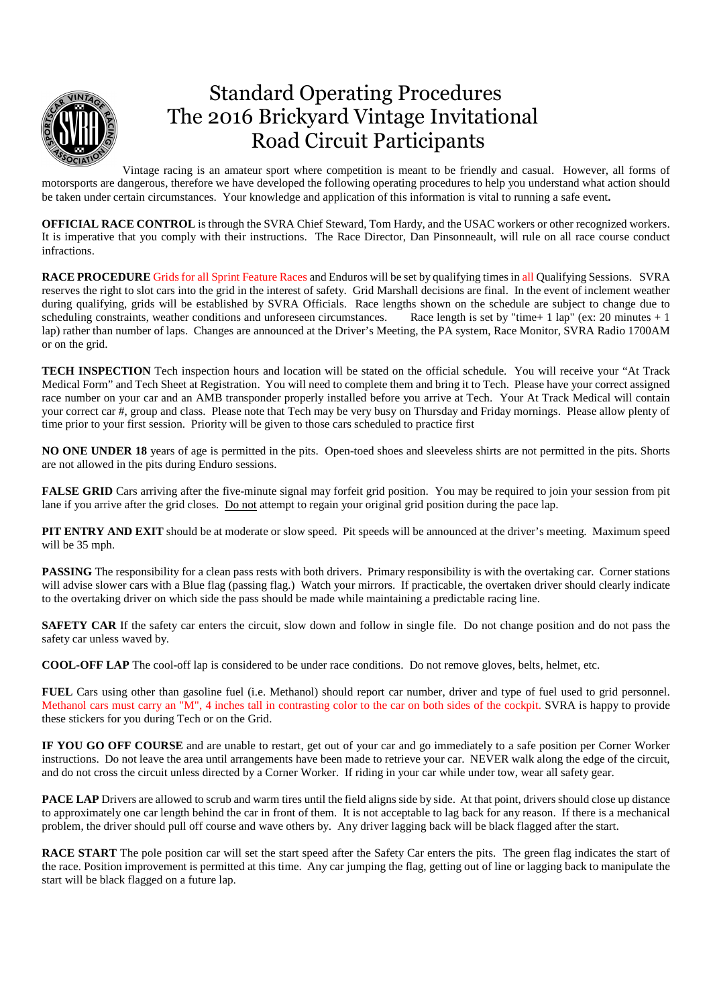

## Standard Operating Procedures The 2016 Brickyard Vintage Invitational Road Circuit Participants

Vintage racing is an amateur sport where competition is meant to be friendly and casual. However, all forms of motorsports are dangerous, therefore we have developed the following operating procedures to help you understand what action should be taken under certain circumstances. Your knowledge and application of this information is vital to running a safe event**.** 

**OFFICIAL RACE CONTROL** is through the SVRA Chief Steward, Tom Hardy, and the USAC workers or other recognized workers. It is imperative that you comply with their instructions. The Race Director, Dan Pinsonneault, will rule on all race course conduct infractions.

**RACE PROCEDURE** Grids for all Sprint Feature Races and Enduros will be set by qualifying times in all Qualifying Sessions. SVRA reserves the right to slot cars into the grid in the interest of safety. Grid Marshall decisions are final. In the event of inclement weather during qualifying, grids will be established by SVRA Officials. Race lengths shown on the schedule are subject to change due to scheduling constraints, weather conditions and unforeseen circumstances. Race length is set by "time+ 1 lap" (ex: 20 minutes + 1 lap) rather than number of laps. Changes are announced at the Driver's Meeting, the PA system, Race Monitor, SVRA Radio 1700AM or on the grid.

**TECH INSPECTION** Tech inspection hours and location will be stated on the official schedule. You will receive your "At Track Medical Form" and Tech Sheet at Registration. You will need to complete them and bring it to Tech. Please have your correct assigned race number on your car and an AMB transponder properly installed before you arrive at Tech. Your At Track Medical will contain your correct car #, group and class. Please note that Tech may be very busy on Thursday and Friday mornings. Please allow plenty of time prior to your first session. Priority will be given to those cars scheduled to practice first

**NO ONE UNDER 18** years of age is permitted in the pits. Open-toed shoes and sleeveless shirts are not permitted in the pits. Shorts are not allowed in the pits during Enduro sessions.

**FALSE GRID** Cars arriving after the five-minute signal may forfeit grid position. You may be required to join your session from pit lane if you arrive after the grid closes. Do not attempt to regain your original grid position during the pace lap.

**PIT ENTRY AND EXIT** should be at moderate or slow speed. Pit speeds will be announced at the driver's meeting. Maximum speed will be 35 mph.

**PASSING** The responsibility for a clean pass rests with both drivers. Primary responsibility is with the overtaking car. Corner stations will advise slower cars with a Blue flag (passing flag.) Watch your mirrors. If practicable, the overtaken driver should clearly indicate to the overtaking driver on which side the pass should be made while maintaining a predictable racing line.

**SAFETY CAR** If the safety car enters the circuit, slow down and follow in single file. Do not change position and do not pass the safety car unless waved by.

**COOL-OFF LAP** The cool-off lap is considered to be under race conditions. Do not remove gloves, belts, helmet, etc.

**FUEL** Cars using other than gasoline fuel (i.e. Methanol) should report car number, driver and type of fuel used to grid personnel. Methanol cars must carry an "M", 4 inches tall in contrasting color to the car on both sides of the cockpit. SVRA is happy to provide these stickers for you during Tech or on the Grid.

**IF YOU GO OFF COURSE** and are unable to restart, get out of your car and go immediately to a safe position per Corner Worker instructions. Do not leave the area until arrangements have been made to retrieve your car. NEVER walk along the edge of the circuit, and do not cross the circuit unless directed by a Corner Worker. If riding in your car while under tow, wear all safety gear.

**PACE LAP** Drivers are allowed to scrub and warm tires until the field aligns side by side. At that point, drivers should close up distance to approximately one car length behind the car in front of them. It is not acceptable to lag back for any reason. If there is a mechanical problem, the driver should pull off course and wave others by. Any driver lagging back will be black flagged after the start.

**RACE START** The pole position car will set the start speed after the Safety Car enters the pits. The green flag indicates the start of the race. Position improvement is permitted at this time. Any car jumping the flag, getting out of line or lagging back to manipulate the start will be black flagged on a future lap.